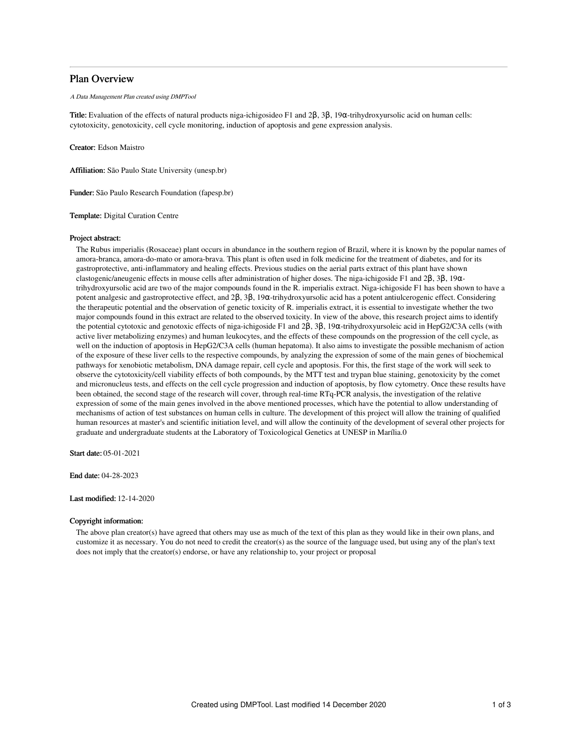## Plan Overview

#### A Data Management Plan created using DMPTool

Title: Evaluation of the effects of natural products niga-ichigosideo F1 and 2β, 3β, 19α-trihydroxyursolic acid on human cells: cytotoxicity, genotoxicity, cell cycle monitoring, induction of apoptosis and gene expression analysis.

Creator: Edson Maistro

Affiliation: São Paulo State University (unesp.br)

Funder: São Paulo Research Foundation (fapesp.br)

Template: Digital Curation Centre

## Project abstract:

The Rubus imperialis (Rosaceae) plant occurs in abundance in the southern region of Brazil, where it is known by the popular names of amora-branca, amora-do-mato or amora-brava. This plant is often used in folk medicine for the treatment of diabetes, and for its gastroprotective, anti-inflammatory and healing effects. Previous studies on the aerial parts extract of this plant have shown clastogenic/aneugenic effects in mouse cells after administration of higher doses. The niga-ichigoside F1 and 2β, 3β, 19αtrihydroxyursolic acid are two of the major compounds found in the R. imperialis extract. Niga-ichigoside F1 has been shown to have a potent analgesic and gastroprotective effect, and 2β, 3β, 19α-trihydroxyursolic acid has a potent antiulcerogenic effect. Considering the therapeutic potential and the observation of genetic toxicity of R. imperialis extract, it is essential to investigate whether the two major compounds found in this extract are related to the observed toxicity. In view of the above, this research project aims to identify the potential cytotoxic and genotoxic effects of niga-ichigoside F1 and 2β, 3β, 19α-trihydroxyursoleic acid in HepG2/C3A cells (with active liver metabolizing enzymes) and human leukocytes, and the effects of these compounds on the progression of the cell cycle, as well on the induction of apoptosis in HepG2/C3A cells (human hepatoma). It also aims to investigate the possible mechanism of action of the exposure of these liver cells to the respective compounds, by analyzing the expression of some of the main genes of biochemical pathways for xenobiotic metabolism, DNA damage repair, cell cycle and apoptosis. For this, the first stage of the work will seek to observe the cytotoxicity/cell viability effects of both compounds, by the MTT test and trypan blue staining, genotoxicity by the comet and micronucleus tests, and effects on the cell cycle progression and induction of apoptosis, by flow cytometry. Once these results have been obtained, the second stage of the research will cover, through real-time RTq-PCR analysis, the investigation of the relative expression of some of the main genes involved in the above mentioned processes, which have the potential to allow understanding of mechanisms of action of test substances on human cells in culture. The development of this project will allow the training of qualified human resources at master's and scientific initiation level, and will allow the continuity of the development of several other projects for graduate and undergraduate students at the Laboratory of Toxicological Genetics at UNESP in Marília.0

Start date: 05-01-2021

End date: 04-28-2023

## Last modified: 12-14-2020

## Copyright information:

The above plan creator(s) have agreed that others may use as much of the text of this plan as they would like in their own plans, and customize it as necessary. You do not need to credit the creator(s) as the source of the language used, but using any of the plan's text does not imply that the creator(s) endorse, or have any relationship to, your project or proposal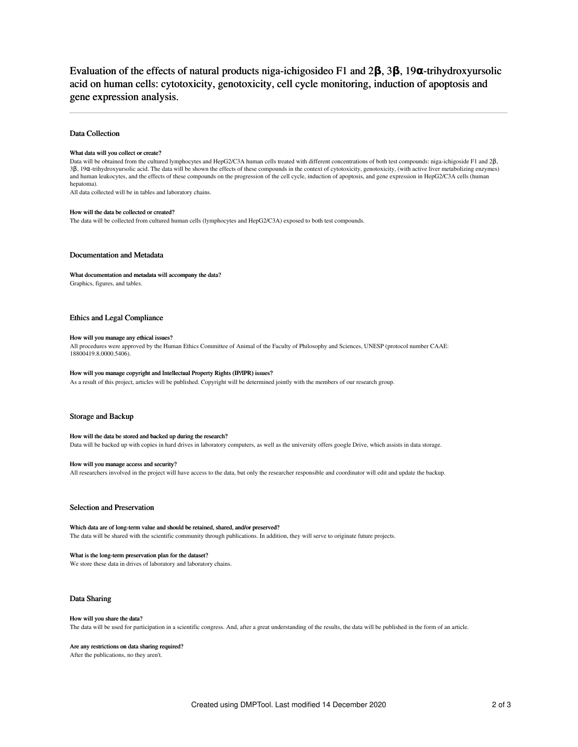# Evaluation of the effects of natural products niga-ichigosideo F1 and 2**β**, 3**β**, 19**α**-trihydroxyursolic acid on human cells: cytotoxicity, genotoxicity, cell cycle monitoring, induction of apoptosis and gene expression analysis.

## Data Collection

#### What data will you collect or create?

Data will be obtained from the cultured lymphocytes and HepG2/C3A human cells treated with different concentrations of both test compounds: niga-ichigoside F1 and 2β, 3β, 19α-trihydroxyursolic acid. The data will be shown the effects of these compounds in the context of cytotoxicity, genotoxicity, (with active liver metabolizing enzymes) and human leukocytes, and the effects of these compounds on the progression of the cell cycle, induction of apoptosis, and gene expression in HepG2/C3A cells (human hepatoma).

All data collected will be in tables and laboratory chains.

## How will the data be collected or created?

The data will be collected from cultured human cells (lymphocytes and HepG2/C3A) exposed to both test compounds.

## Documentation and Metadata

#### What documentation and metadata will accompany the data?

Graphics, figures, and tables.

## Ethics and Legal Compliance

## How will you manage any ethical issues?

All procedures were approved by the Human Ethics Committee of Animal of the Faculty of Philosophy and Sciences, UNESP (protocol number CAAE: 18800419.8.0000.5406).

#### How will you manage copyright and Intellectual Property Rights (IP/IPR) issues?

As a result of this project, articles will be published. Copyright will be determined jointly with the members of our research group.

## Storage and Backup

#### How will the data be stored and backed up during the research?

Data will be backed up with copies in hard drives in laboratory computers, as well as the university offers google Drive, which assists in data storage.

#### How will you manage access and security?

All researchers involved in the project will have access to the data, but only the researcher responsible and coordinator will edit and update the backup.

## Selection and Preservation

Which data are of long-term value and should be retained, shared, and/or preserved? The data will be shared with the scientific community through publications. In addition, they will serve to originate future projects.

#### What is the long-term preservation plan for the dataset?

We store these data in drives of laboratory and laboratory chains.

### Data Sharing

#### How will you share the data?

The data will be used for participation in a scientific congress. And, after a great understanding of the results, the data will be published in the form of an article.

## Are any restrictions on data sharing required?

After the publications, no they aren't.